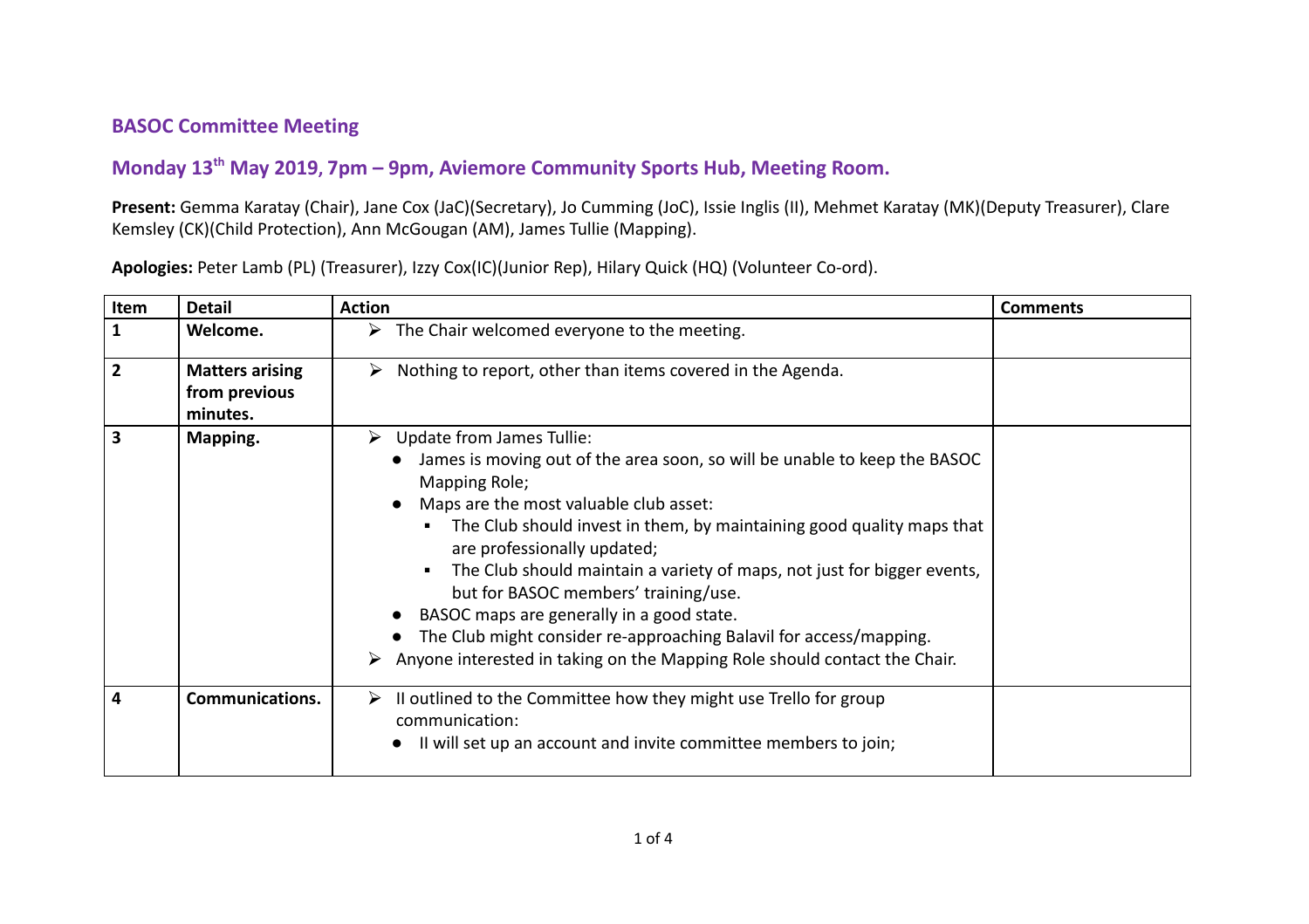## **BASOC Committee Meeting**

## **Monday 13 th May 2019, 7pm – 9pm, Aviemore Community Sports Hub, Meeting Room.**

**Present:** Gemma Karatay (Chair), Jane Cox (JaC)(Secretary), Jo Cumming (JoC), Issie Inglis (II), Mehmet Karatay (MK)(Deputy Treasurer), Clare Kemsley (CK)(Child Protection), Ann McGougan (AM), James Tullie (Mapping).

| Item                    | <b>Detail</b>                                       | <b>Action</b>                                                                                                                                                                                                                                                                                                                                                                                                                                                                                                                                                                                                            | <b>Comments</b> |
|-------------------------|-----------------------------------------------------|--------------------------------------------------------------------------------------------------------------------------------------------------------------------------------------------------------------------------------------------------------------------------------------------------------------------------------------------------------------------------------------------------------------------------------------------------------------------------------------------------------------------------------------------------------------------------------------------------------------------------|-----------------|
| $\mathbf{1}$            | Welcome.                                            | $\triangleright$ The Chair welcomed everyone to the meeting.                                                                                                                                                                                                                                                                                                                                                                                                                                                                                                                                                             |                 |
| $\overline{2}$          | <b>Matters arising</b><br>from previous<br>minutes. | Nothing to report, other than items covered in the Agenda.<br>➤                                                                                                                                                                                                                                                                                                                                                                                                                                                                                                                                                          |                 |
| $\overline{\mathbf{3}}$ | Mapping.                                            | Update from James Tullie:<br>➤<br>James is moving out of the area soon, so will be unable to keep the BASOC<br>Mapping Role;<br>Maps are the most valuable club asset:<br>The Club should invest in them, by maintaining good quality maps that<br>$\blacksquare$<br>are professionally updated;<br>The Club should maintain a variety of maps, not just for bigger events,<br>but for BASOC members' training/use.<br>BASOC maps are generally in a good state.<br>The Club might consider re-approaching Balavil for access/mapping.<br>Anyone interested in taking on the Mapping Role should contact the Chair.<br>➤ |                 |
| $\overline{4}$          | <b>Communications.</b>                              | Il outlined to the Committee how they might use Trello for group<br>➤<br>communication:<br>Il will set up an account and invite committee members to join;                                                                                                                                                                                                                                                                                                                                                                                                                                                               |                 |

**Apologies:** Peter Lamb (PL) (Treasurer), Izzy Cox(IC)(Junior Rep), Hilary Quick (HQ) (Volunteer Co-ord).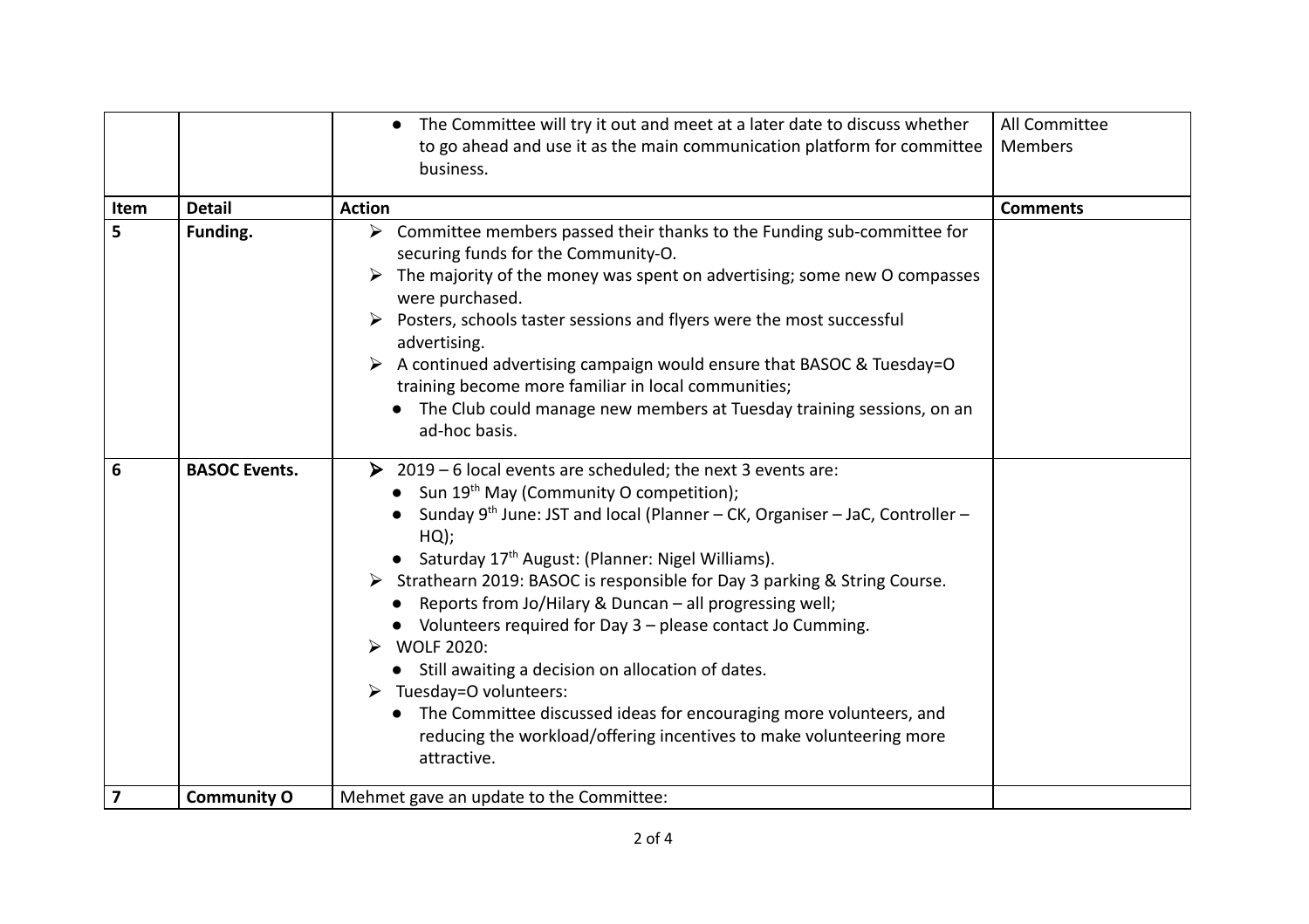|                         |                      | The Committee will try it out and meet at a later date to discuss whether<br>to go ahead and use it as the main communication platform for committee<br>business.                                                                                                                                                                                                                                                                                                                                                                                                                                                                                                                                                                                                                                   | All Committee<br>Members |
|-------------------------|----------------------|-----------------------------------------------------------------------------------------------------------------------------------------------------------------------------------------------------------------------------------------------------------------------------------------------------------------------------------------------------------------------------------------------------------------------------------------------------------------------------------------------------------------------------------------------------------------------------------------------------------------------------------------------------------------------------------------------------------------------------------------------------------------------------------------------------|--------------------------|
| Item                    | <b>Detail</b>        | <b>Action</b>                                                                                                                                                                                                                                                                                                                                                                                                                                                                                                                                                                                                                                                                                                                                                                                       | <b>Comments</b>          |
| 5                       | Funding.             | $\triangleright$ Committee members passed their thanks to the Funding sub-committee for<br>securing funds for the Community-O.<br>The majority of the money was spent on advertising; some new O compasses<br>were purchased.<br>Posters, schools taster sessions and flyers were the most successful<br>advertising.<br>A continued advertising campaign would ensure that BASOC & Tuesday=O<br>training become more familiar in local communities;<br>The Club could manage new members at Tuesday training sessions, on an<br>ad-hoc basis.                                                                                                                                                                                                                                                      |                          |
| 6                       | <b>BASOC Events.</b> | $\triangleright$ 2019 – 6 local events are scheduled; the next 3 events are:<br>• Sun $19th$ May (Community O competition);<br>Sunday $9^{th}$ June: JST and local (Planner – CK, Organiser – JaC, Controller –<br>HQ);<br>• Saturday 17 <sup>th</sup> August: (Planner: Nigel Williams).<br>> Strathearn 2019: BASOC is responsible for Day 3 parking & String Course.<br>• Reports from Jo/Hilary & Duncan - all progressing well;<br>• Volunteers required for Day 3 - please contact Jo Cumming.<br><b>WOLF 2020:</b><br>• Still awaiting a decision on allocation of dates.<br>$\triangleright$ Tuesday=O volunteers:<br>The Committee discussed ideas for encouraging more volunteers, and<br>$\bullet$<br>reducing the workload/offering incentives to make volunteering more<br>attractive. |                          |
| $\overline{\mathbf{z}}$ | <b>Community O</b>   | Mehmet gave an update to the Committee:                                                                                                                                                                                                                                                                                                                                                                                                                                                                                                                                                                                                                                                                                                                                                             |                          |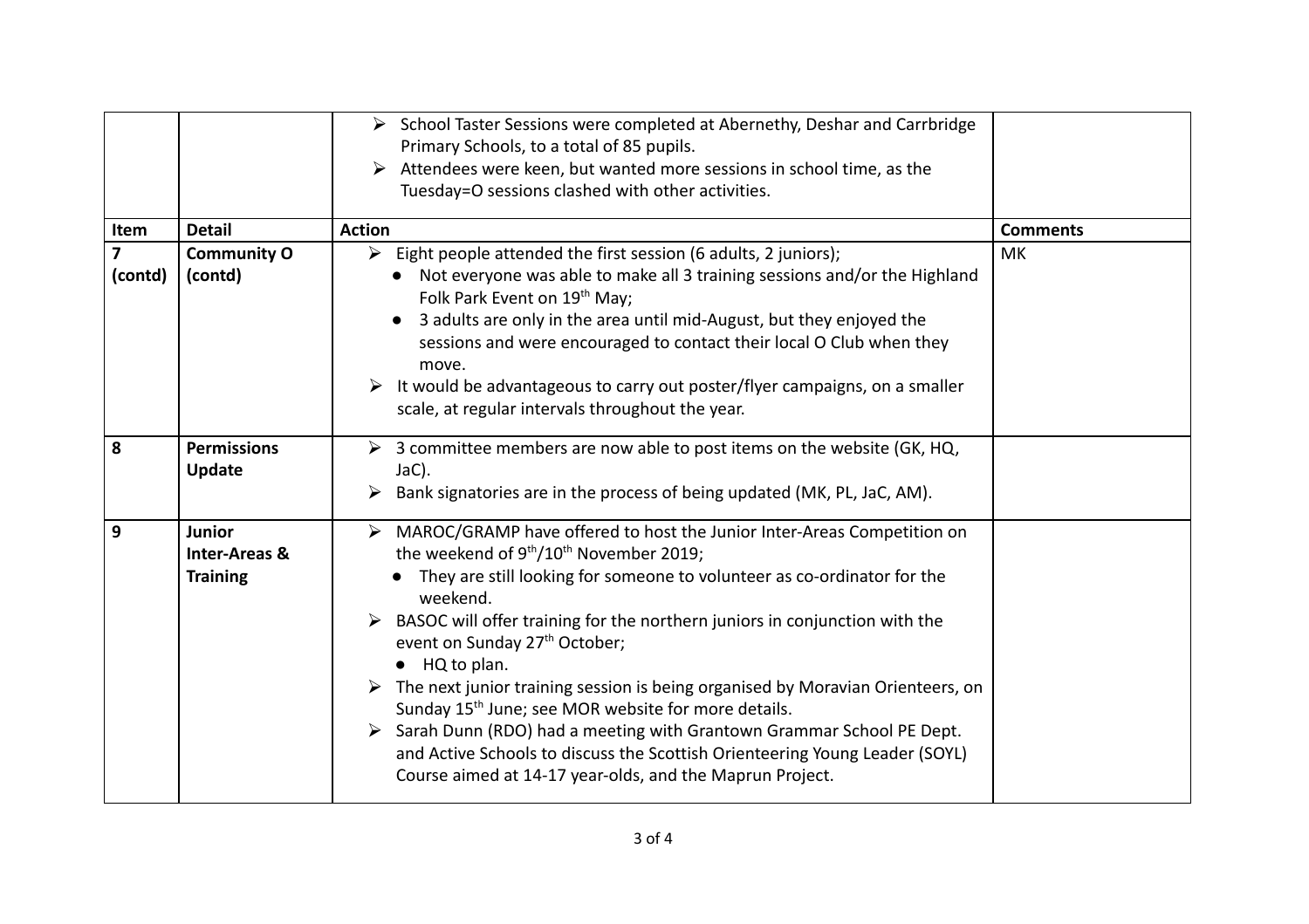|                                    |                                                       | School Taster Sessions were completed at Abernethy, Deshar and Carrbridge<br>Primary Schools, to a total of 85 pupils.<br>Attendees were keen, but wanted more sessions in school time, as the<br>Tuesday=O sessions clashed with other activities.                                                                                                                                                                                                                                                                                                                                                                                                                                                                                                                                |                 |
|------------------------------------|-------------------------------------------------------|------------------------------------------------------------------------------------------------------------------------------------------------------------------------------------------------------------------------------------------------------------------------------------------------------------------------------------------------------------------------------------------------------------------------------------------------------------------------------------------------------------------------------------------------------------------------------------------------------------------------------------------------------------------------------------------------------------------------------------------------------------------------------------|-----------------|
| Item                               | <b>Detail</b>                                         | <b>Action</b>                                                                                                                                                                                                                                                                                                                                                                                                                                                                                                                                                                                                                                                                                                                                                                      | <b>Comments</b> |
| $\overline{\mathbf{z}}$<br>(contd) | <b>Community O</b><br>(contd)                         | $\triangleright$ Eight people attended the first session (6 adults, 2 juniors);<br>• Not everyone was able to make all 3 training sessions and/or the Highland<br>Folk Park Event on 19th May;<br>3 adults are only in the area until mid-August, but they enjoyed the<br>sessions and were encouraged to contact their local O Club when they<br>move.<br>It would be advantageous to carry out poster/flyer campaigns, on a smaller<br>scale, at regular intervals throughout the year.                                                                                                                                                                                                                                                                                          | MK              |
| 8                                  | <b>Permissions</b><br><b>Update</b>                   | $\triangleright$ 3 committee members are now able to post items on the website (GK, HQ,<br>JaC).<br>Bank signatories are in the process of being updated (MK, PL, JaC, AM).                                                                                                                                                                                                                                                                                                                                                                                                                                                                                                                                                                                                        |                 |
| $\overline{9}$                     | Junior<br><b>Inter-Areas &amp;</b><br><b>Training</b> | MAROC/GRAMP have offered to host the Junior Inter-Areas Competition on<br>$\triangleright$<br>the weekend of 9 <sup>th</sup> /10 <sup>th</sup> November 2019;<br>They are still looking for someone to volunteer as co-ordinator for the<br>weekend.<br>BASOC will offer training for the northern juniors in conjunction with the<br>event on Sunday 27 <sup>th</sup> October;<br>$\bullet$ HQ to plan.<br>The next junior training session is being organised by Moravian Orienteers, on<br>Sunday 15 <sup>th</sup> June; see MOR website for more details.<br>> Sarah Dunn (RDO) had a meeting with Grantown Grammar School PE Dept.<br>and Active Schools to discuss the Scottish Orienteering Young Leader (SOYL)<br>Course aimed at 14-17 year-olds, and the Maprun Project. |                 |